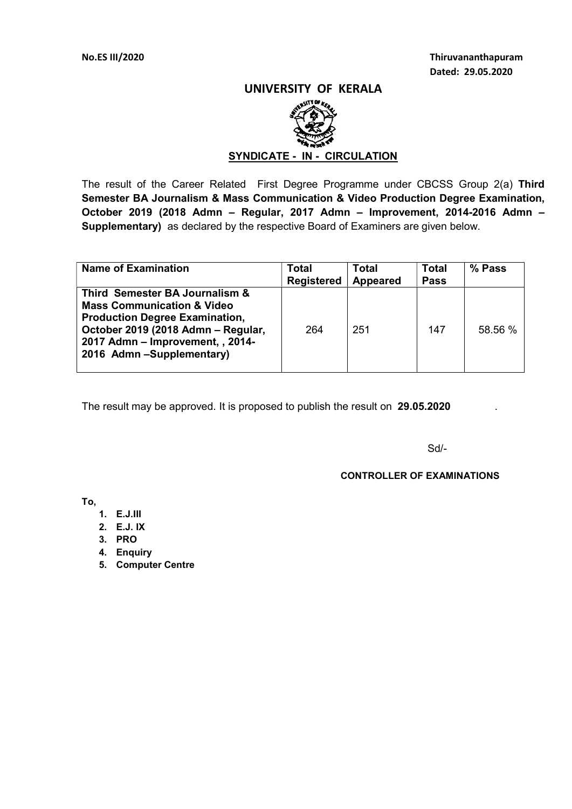# UNIVERSITY OF KERALA



# SYNDICATE - IN - CIRCULATION

The result of the Career Related First Degree Programme under CBCSS Group 2(a) Third Semester BA Journalism & Mass Communication & Video Production Degree Examination, October 2019 (2018 Admn – Regular, 2017 Admn – Improvement, 2014-2016 Admn – Supplementary) as declared by the respective Board of Examiners are given below.

| <b>Name of Examination</b>                                                                                                                                                                                             | Total<br><b>Registered</b> | Total<br><b>Appeared</b> | <b>Total</b><br><b>Pass</b> | % Pass  |
|------------------------------------------------------------------------------------------------------------------------------------------------------------------------------------------------------------------------|----------------------------|--------------------------|-----------------------------|---------|
| Third Semester BA Journalism &<br><b>Mass Communication &amp; Video</b><br><b>Production Degree Examination,</b><br>October 2019 (2018 Admn - Regular,<br>2017 Admn - Improvement, , 2014-<br>2016 Admn-Supplementary) | 264                        | 251                      | 147                         | 58.56 % |

The result may be approved. It is proposed to publish the result on 29.05.2020

Sd/-

### CONTROLLER OF EXAMINATIONS

To,

- 1. E.J.III
- 2. E.J. IX
- 3. PRO
- 4. Enquiry
- 5. Computer Centre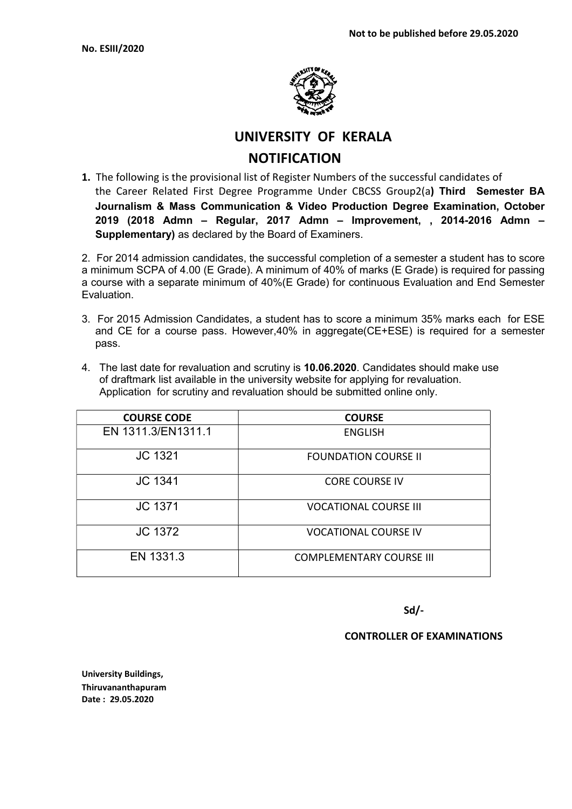

UNIVERSITY OF KERALA **NOTIFICATION** 

1. The following is the provisional list of Register Numbers of the successful candidates of the Career Related First Degree Programme Under CBCSS Group2(a) Third Semester BA Journalism & Mass Communication & Video Production Degree Examination, October 2019 (2018 Admn – Regular, 2017 Admn – Improvement, , 2014-2016 Admn – Supplementary) as declared by the Board of Examiners.

2. For 2014 admission candidates, the successful completion of a semester a student has to score a minimum SCPA of 4.00 (E Grade). A minimum of 40% of marks (E Grade) is required for passing a course with a separate minimum of 40%(E Grade) for continuous Evaluation and End Semester Evaluation.

- 3. For 2015 Admission Candidates, a student has to score a minimum 35% marks each for ESE and CE for a course pass. However,40% in aggregate(CE+ESE) is required for a semester pass.
- 4. The last date for revaluation and scrutiny is 10.06.2020. Candidates should make use of draftmark list available in the university website for applying for revaluation. Application for scrutiny and revaluation should be submitted online only.

| <b>COURSE CODE</b> | <b>COURSE</b>                   |
|--------------------|---------------------------------|
| EN 1311.3/EN1311.1 | <b>ENGLISH</b>                  |
| JC 1321            | <b>FOUNDATION COURSE II</b>     |
| <b>JC 1341</b>     | <b>CORE COURSE IV</b>           |
| JC 1371            | <b>VOCATIONAL COURSE III</b>    |
| <b>JC 1372</b>     | <b>VOCATIONAL COURSE IV</b>     |
| EN 1331.3          | <b>COMPLEMENTARY COURSE III</b> |

Sd/-

# CONTROLLER OF EXAMINATIONS

University Buildings, Thiruvananthapuram Date : 29.05.2020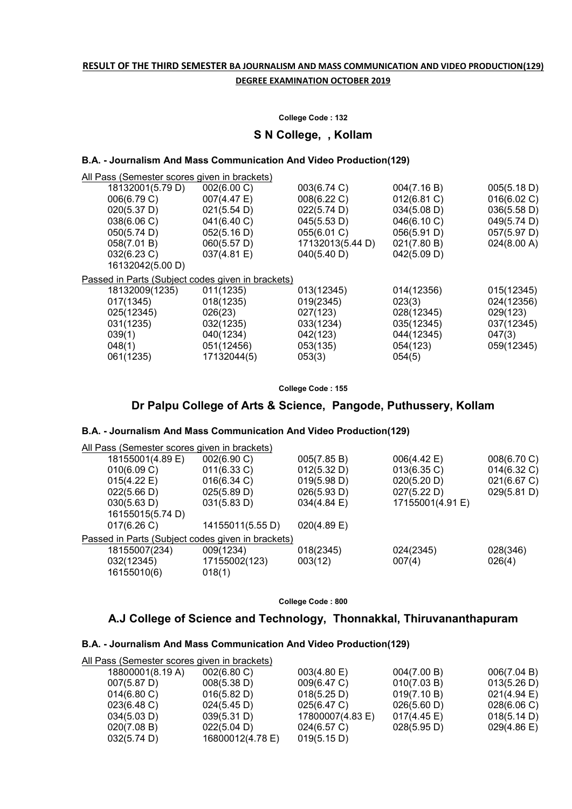# RESULT OF THE THIRD SEMESTER BA JOURNALISM AND MASS COMMUNICATION AND VIDEO PRODUCTION(129) DEGREE EXAMINATION OCTOBER 2019

#### College Code : 132

S N College, , Kollam

# B.A. - Journalism And Mass Communication And Video Production(129)

| All Pass (Semester scores given in brackets)      |             |                  |             |             |
|---------------------------------------------------|-------------|------------------|-------------|-------------|
| 18132001(5.79 D)                                  | 002(6.00 C) | 003(6.74 C)      | 004(7.16 B) | 005(5.18 D) |
| 006(6.79 C)                                       | 007(4.47 E) | 008(6.22 C)      | 012(6.81 C) | 016(6.02 C) |
| 020(5.37 D)                                       | 021(5.54 D) | 022(5.74 D)      | 034(5.08 D) | 036(5.58 D) |
| 038(6.06 C)                                       | 041(6.40 C) | 045(5.53 D)      | 046(6.10 C) | 049(5.74 D) |
| 050(5.74 D)                                       | 052(5.16 D) | 055(6.01 C)      | 056(5.91 D) | 057(5.97 D) |
| 058(7.01 B)                                       | 060(5.57 D) | 17132013(5.44 D) | 021(7.80 B) | 024(8.00 A) |
| $032(6.23)$ C)                                    | 037(4.81 E) | 040(5.40 D)      | 042(5.09 D) |             |
| 16132042(5.00 D)                                  |             |                  |             |             |
| Passed in Parts (Subject codes given in brackets) |             |                  |             |             |
| 18132009(1235)                                    | 011(1235)   | 013(12345)       | 014(12356)  | 015(12345)  |
| 017(1345)                                         | 018(1235)   | 019(2345)        | 023(3)      | 024(12356)  |
| 025(12345)                                        | 026(23)     | 027(123)         | 028(12345)  | 029(123)    |
| 031(1235)                                         | 032(1235)   | 033(1234)        | 035(12345)  | 037(12345)  |
| 039(1)                                            | 040(1234)   | 042(123)         | 044(12345)  | 047(3)      |
| 048(1)                                            | 051(12456)  | 053(135)         | 054(123)    | 059(12345)  |
| 061(1235)                                         | 17132044(5) | 053(3)           | 054(5)      |             |
|                                                   |             |                  |             |             |

College Code : 155

# Dr Palpu College of Arts & Science, Pangode, Puthussery, Kollam

### B.A. - Journalism And Mass Communication And Video Production(129)

| All Pass (Semester scores given in brackets)      |                  |                |                  |                |
|---------------------------------------------------|------------------|----------------|------------------|----------------|
| 18155001(4.89 E)                                  | 002(6.90 C)      | 005(7.85 B)    | 006(4.42 E)      | 008(6.70 C)    |
| 010(6.09 C)                                       | 011(6.33 C)      | 012(5.32 D)    | 013(6.35 C)      | $014(6.32)$ C) |
| 015(4.22 E)                                       | $016(6.34)$ C)   | 019(5.98 D)    | 020(5.20 D)      | 021(6.67 C)    |
| 022(5.66 D)                                       | 025(5.89 D)      | 026(5.93 D)    | 027(5.22 D)      | 029(5.81 D)    |
| 030(5.63 D)                                       | 031(5.83 D)      | 034(4.84 E)    | 17155001(4.91 E) |                |
| 16155015(5.74 D)                                  |                  |                |                  |                |
| 017(6.26)                                         | 14155011(5.55 D) | $020(4.89)$ E) |                  |                |
| Passed in Parts (Subject codes given in brackets) |                  |                |                  |                |
| 18155007(234)                                     | 009(1234)        | 018(2345)      | 024(2345)        | 028(346)       |
| 032(12345)                                        | 17155002(123)    | 003(12)        | 007(4)           | 026(4)         |
| 16155010(6)                                       | 018(1)           |                |                  |                |
|                                                   |                  |                |                  |                |

College Code : 800

# A.J College of Science and Technology, Thonnakkal, Thiruvananthapuram

### B.A. - Journalism And Mass Communication And Video Production(129)

| All Pass (Semester scores given in brackets) |                  |                  |             |                       |
|----------------------------------------------|------------------|------------------|-------------|-----------------------|
| 18800001(8.19 A)                             | 002(6.80 C)      | 003(4.80)        | 004(7.00 B) | 006(7.04 B)           |
| 007(5.87 D)                                  | 008(5.38 D)      | 009(6.47 C)      | 010(7.03 B) | 013(5.26 D)           |
| $014(6.80 \text{ C})$                        | 016(5.82 D)      | 018(5.25 D)      | 019(7.10 B) | 021(4.94)             |
| $023(6.48 \text{ C})$                        | 024(5.45 D)      | 025(6.47 C)      | 026(5.60 D) | 028(6.06 C)           |
| 034(5.03 D)                                  | 039(5.31 D)      | 17800007(4.83 E) | 017(4.45 E) | 018(5.14 D)           |
| 020(7.08 B)                                  | 022(5.04 D)      | 024(6.57 C)      | 028(5.95 D) | $029(4.86 \text{ E})$ |
| 032(5.74 D)                                  | 16800012(4.78 E) | 019(5.15 D)      |             |                       |
|                                              |                  |                  |             |                       |